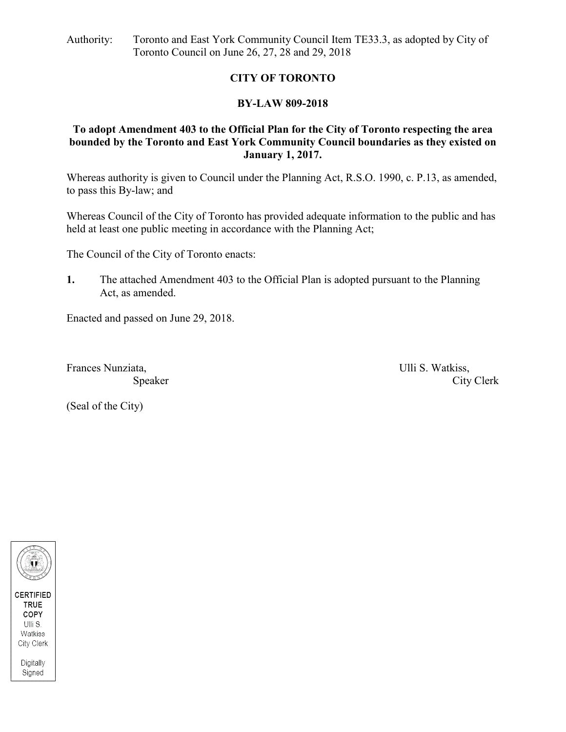Authority: Toronto and East York Community Council Item TE33.3, as adopted by City of Toronto Council on June 26, 27, 28 and 29, 2018

### **CITY OF TORONTO**

### **BY-LAW 809-2018**

#### **To adopt Amendment 403 to the Official Plan for the City of Toronto respecting the area bounded by the Toronto and East York Community Council boundaries as they existed on January 1, 2017.**

Whereas authority is given to Council under the Planning Act, R.S.O. 1990, c. P.13, as amended, to pass this By-law; and

Whereas Council of the City of Toronto has provided adequate information to the public and has held at least one public meeting in accordance with the Planning Act;

The Council of the City of Toronto enacts:

**1.** The attached Amendment 403 to the Official Plan is adopted pursuant to the Planning Act, as amended.

Enacted and passed on June 29, 2018.

Frances Nunziata, **Exercise 2.1 Intervalse Serverse** Ulli S. Watkiss,

Speaker City Clerk

(Seal of the City)

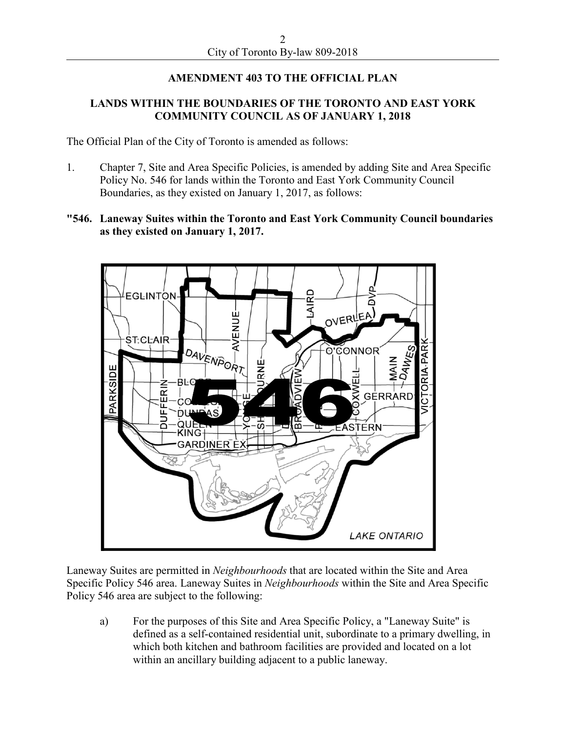# **AMENDMENT 403 TO THE OFFICIAL PLAN**

## **LANDS WITHIN THE BOUNDARIES OF THE TORONTO AND EAST YORK COMMUNITY COUNCIL AS OF JANUARY 1, 2018**

The Official Plan of the City of Toronto is amended as follows:

- 1. Chapter 7, Site and Area Specific Policies, is amended by adding Site and Area Specific Policy No. 546 for lands within the Toronto and East York Community Council Boundaries, as they existed on January 1, 2017, as follows:
- **"546. Laneway Suites within the Toronto and East York Community Council boundaries as they existed on January 1, 2017.**



Laneway Suites are permitted in *Neighbourhoods* that are located within the Site and Area Specific Policy 546 area. Laneway Suites in *Neighbourhoods* within the Site and Area Specific Policy 546 area are subject to the following:

a) For the purposes of this Site and Area Specific Policy, a "Laneway Suite" is defined as a self-contained residential unit, subordinate to a primary dwelling, in which both kitchen and bathroom facilities are provided and located on a lot within an ancillary building adjacent to a public laneway.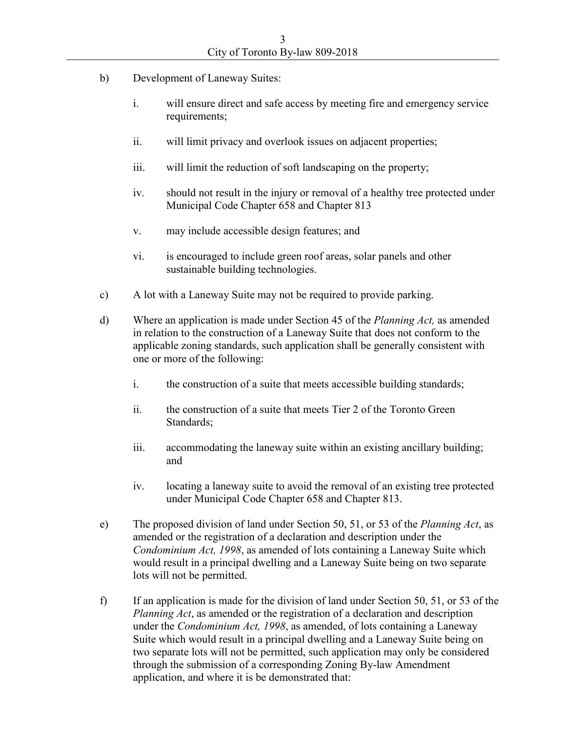- b) Development of Laneway Suites:
	- i. will ensure direct and safe access by meeting fire and emergency service requirements;
	- ii. will limit privacy and overlook issues on adjacent properties;
	- iii. will limit the reduction of soft landscaping on the property;
	- iv. should not result in the injury or removal of a healthy tree protected under Municipal Code Chapter 658 and Chapter 813
	- v. may include accessible design features; and
	- vi. is encouraged to include green roof areas, solar panels and other sustainable building technologies.
- c) A lot with a Laneway Suite may not be required to provide parking.
- d) Where an application is made under Section 45 of the *Planning Act,* as amended in relation to the construction of a Laneway Suite that does not conform to the applicable zoning standards, such application shall be generally consistent with one or more of the following:
	- i. the construction of a suite that meets accessible building standards;
	- ii. the construction of a suite that meets Tier 2 of the Toronto Green Standards;
	- iii. accommodating the laneway suite within an existing ancillary building; and
	- iv. locating a laneway suite to avoid the removal of an existing tree protected under Municipal Code Chapter 658 and Chapter 813.
- e) The proposed division of land under Section 50, 51, or 53 of the *Planning Act*, as amended or the registration of a declaration and description under the *Condominium Act, 1998*, as amended of lots containing a Laneway Suite which would result in a principal dwelling and a Laneway Suite being on two separate lots will not be permitted.
- f) If an application is made for the division of land under Section 50, 51, or 53 of the *Planning Act*, as amended or the registration of a declaration and description under the *Condominium Act, 1998*, as amended, of lots containing a Laneway Suite which would result in a principal dwelling and a Laneway Suite being on two separate lots will not be permitted, such application may only be considered through the submission of a corresponding Zoning By-law Amendment application, and where it is be demonstrated that: